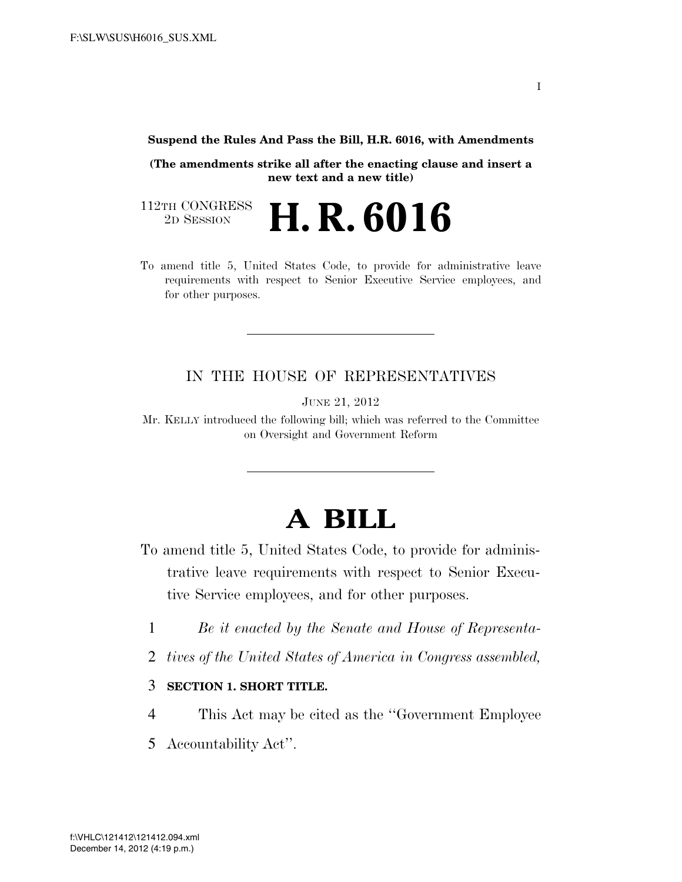**Suspend the Rules And Pass the Bill, H.R. 6016, with Amendments** 

**(The amendments strike all after the enacting clause and insert a new text and a new title)** 

112TH CONGRESS<br>2D SESSION 2D SESSION **H. R. 6016**

To amend title 5, United States Code, to provide for administrative leave requirements with respect to Senior Executive Service employees, and for other purposes.

#### IN THE HOUSE OF REPRESENTATIVES

JUNE 21, 2012

Mr. KELLY introduced the following bill; which was referred to the Committee on Oversight and Government Reform

## **A BILL**

- To amend title 5, United States Code, to provide for administrative leave requirements with respect to Senior Executive Service employees, and for other purposes.
	- 1 *Be it enacted by the Senate and House of Representa-*
	- 2 *tives of the United States of America in Congress assembled,*

#### 3 **SECTION 1. SHORT TITLE.**

- 4 This Act may be cited as the ''Government Employee
- 5 Accountability Act''.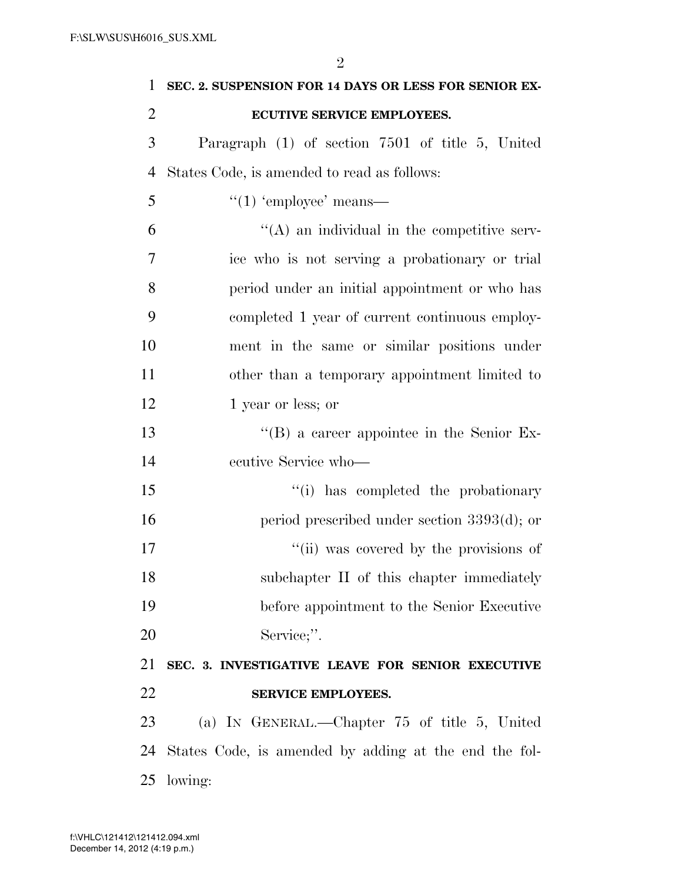| 1              | SEC. 2. SUSPENSION FOR 14 DAYS OR LESS FOR SENIOR EX- |
|----------------|-------------------------------------------------------|
| $\overline{2}$ | ECUTIVE SERVICE EMPLOYEES.                            |
| 3              | Paragraph (1) of section 7501 of title 5, United      |
| 4              | States Code, is amended to read as follows:           |
| 5              | $\lq(1)$ 'employee' means—                            |
| 6              | $\lq\lq$ an individual in the competitive serv-       |
| 7              | ice who is not serving a probationary or trial        |
| 8              | period under an initial appointment or who has        |
| 9              | completed 1 year of current continuous employ-        |
| 10             | ment in the same or similar positions under           |
| 11             | other than a temporary appointment limited to         |
| 12             | 1 year or less; or                                    |
| 13             | $\lq\lq (B)$ a career appointee in the Senior Ex-     |
| 14             | ecutive Service who-                                  |
| 15             | "(i) has completed the probationary                   |
| 16             | period prescribed under section $3393(d)$ ; or        |
| 17             | "(ii) was covered by the provisions of                |
| 18             | subchapter II of this chapter immediately             |
| 19             | before appointment to the Senior Executive            |
| 20             | Service;".                                            |
| 21             | SEC. 3. INVESTIGATIVE LEAVE FOR SENIOR EXECUTIVE      |
| 22             | <b>SERVICE EMPLOYEES.</b>                             |
| 23             | (a) IN GENERAL.—Chapter 75 of title 5, United         |
| 24             | States Code, is amended by adding at the end the fol- |
| 25             | lowing:                                               |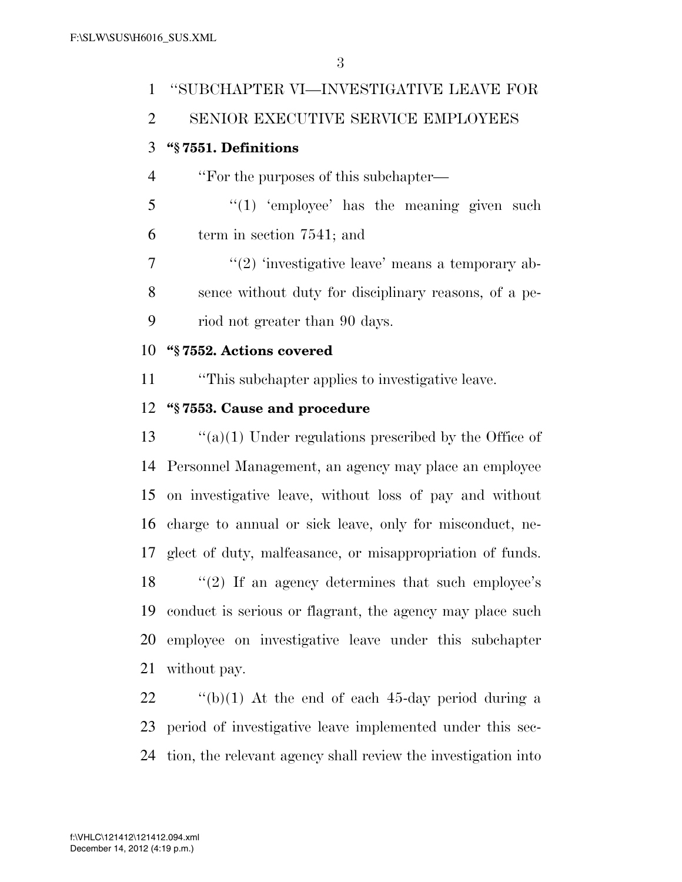# ''SUBCHAPTER VI—INVESTIGATIVE LEAVE FOR SENIOR EXECUTIVE SERVICE EMPLOYEES **''§ 7551. Definitions**  ''For the purposes of this subchapter— ''(1) 'employee' has the meaning given such term in section 7541; and

 $\frac{1}{2}$  ''(2) 'investigative leave' means a temporary ab- sence without duty for disciplinary reasons, of a pe-riod not greater than 90 days.

#### **''§ 7552. Actions covered**

''This subchapter applies to investigative leave.

### **''§ 7553. Cause and procedure**

 ''(a)(1) Under regulations prescribed by the Office of Personnel Management, an agency may place an employee on investigative leave, without loss of pay and without charge to annual or sick leave, only for misconduct, ne- glect of duty, malfeasance, or misappropriation of funds. 18 "(2) If an agency determines that such employee's conduct is serious or flagrant, the agency may place such employee on investigative leave under this subchapter without pay.

 ''(b)(1) At the end of each 45-day period during a period of investigative leave implemented under this sec-tion, the relevant agency shall review the investigation into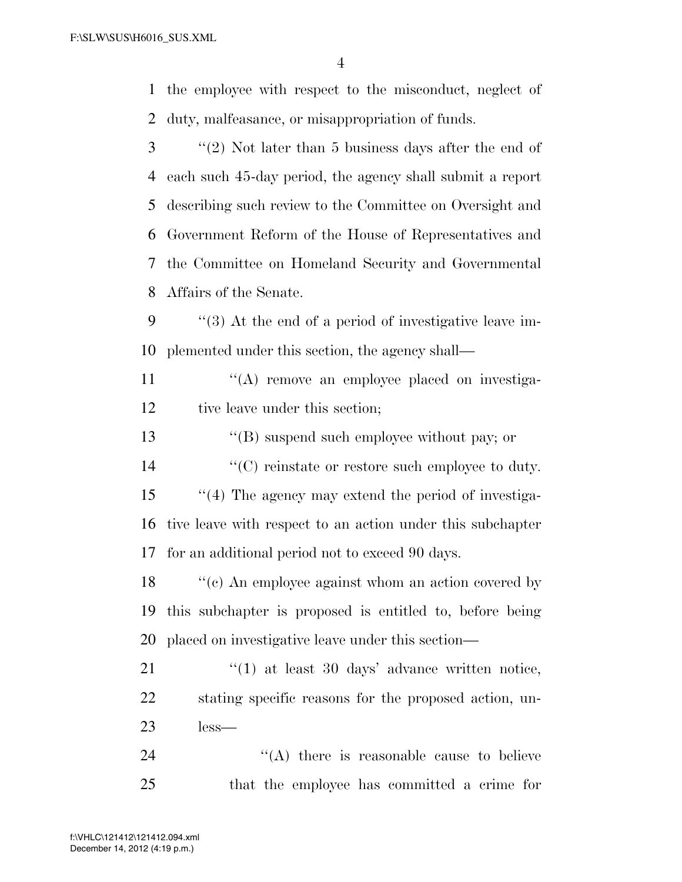the employee with respect to the misconduct, neglect of duty, malfeasance, or misappropriation of funds.

 ''(2) Not later than 5 business days after the end of each such 45-day period, the agency shall submit a report describing such review to the Committee on Oversight and Government Reform of the House of Representatives and the Committee on Homeland Security and Governmental Affairs of the Senate.

 ''(3) At the end of a period of investigative leave im-plemented under this section, the agency shall—

11  $\langle \rangle^{\alpha}$  (A) remove an employee placed on investiga-12 tive leave under this section;

''(B) suspend such employee without pay; or

14  $\langle ^{\prime}(C) \rangle$  reinstate or restore such employee to duty.

 ''(4) The agency may extend the period of investiga- tive leave with respect to an action under this subchapter for an additional period not to exceed 90 days.

18 ''(c) An employee against whom an action covered by this subchapter is proposed is entitled to, before being placed on investigative leave under this section—

21 ''(1) at least 30 days' advance written notice, stating specific reasons for the proposed action, un-less—

24 ''(A) there is reasonable cause to believe that the employee has committed a crime for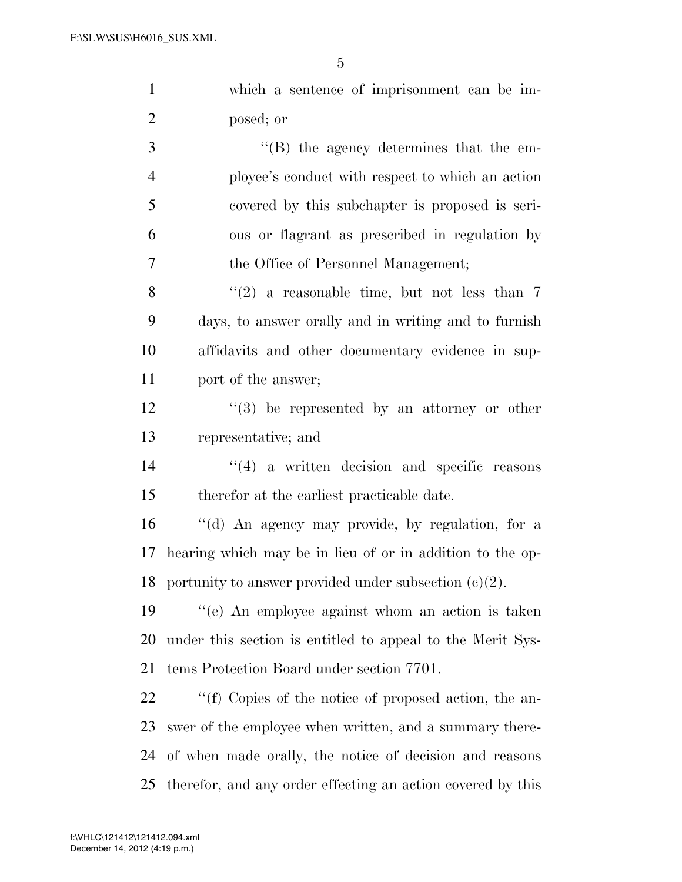which a sentence of imprisonment can be im-posed; or

 ''(B) the agency determines that the em- ployee's conduct with respect to which an action covered by this subchapter is proposed is seri- ous or flagrant as prescribed in regulation by the Office of Personnel Management;

 $\langle (2)$  a reasonable time, but not less than 7 days, to answer orally and in writing and to furnish affidavits and other documentary evidence in sup-port of the answer;

12 ''(3) be represented by an attorney or other representative; and

14 ''(4) a written decision and specific reasons therefor at the earliest practicable date.

 ''(d) An agency may provide, by regulation, for a hearing which may be in lieu of or in addition to the op-18 portunity to answer provided under subsection  $(c)(2)$ .

 ''(e) An employee against whom an action is taken under this section is entitled to appeal to the Merit Sys-tems Protection Board under section 7701.

 $\cdot$  "(f) Copies of the notice of proposed action, the an- swer of the employee when written, and a summary there- of when made orally, the notice of decision and reasons therefor, and any order effecting an action covered by this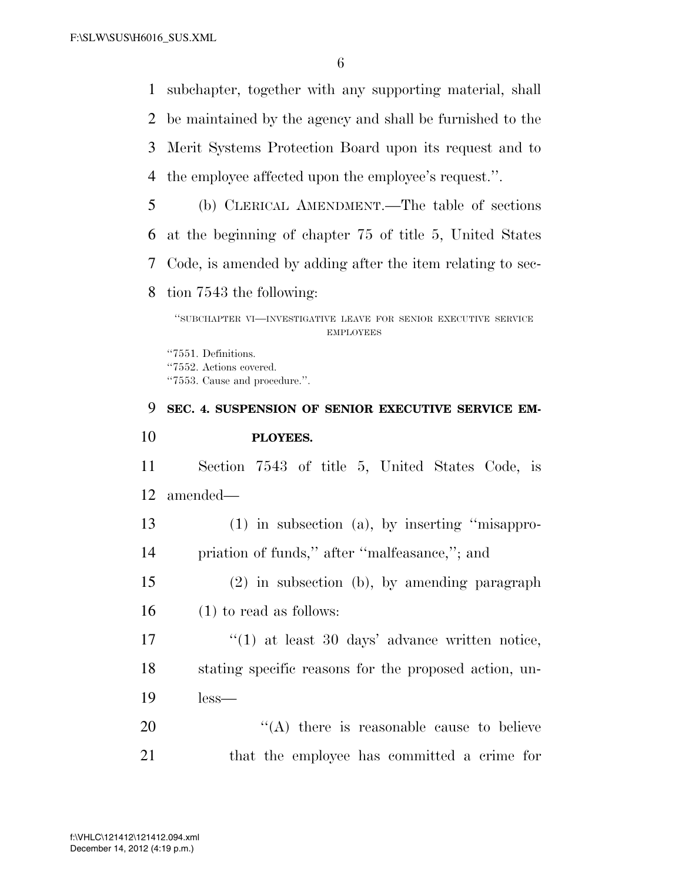subchapter, together with any supporting material, shall be maintained by the agency and shall be furnished to the Merit Systems Protection Board upon its request and to

- the employee affected upon the employee's request.''.
- (b) CLERICAL AMENDMENT.—The table of sections at the beginning of chapter 75 of title 5, United States Code, is amended by adding after the item relating to sec-
- tion 7543 the following:

''7551. Definitions. ''7552. Actions covered. ''7553. Cause and procedure.''.

### **SEC. 4. SUSPENSION OF SENIOR EXECUTIVE SERVICE EM- PLOYEES.**  Section 7543 of title 5, United States Code, is amended— (1) in subsection (a), by inserting ''misappro-

- priation of funds,'' after ''malfeasance,''; and
- (2) in subsection (b), by amending paragraph (1) to read as follows:

17 ''(1) at least 30 days' advance written notice, stating specific reasons for the proposed action, un-less—

20 "(A) there is reasonable cause to believe that the employee has committed a crime for

<sup>&#</sup>x27;'SUBCHAPTER VI—INVESTIGATIVE LEAVE FOR SENIOR EXECUTIVE SERVICE EMPLOYEES